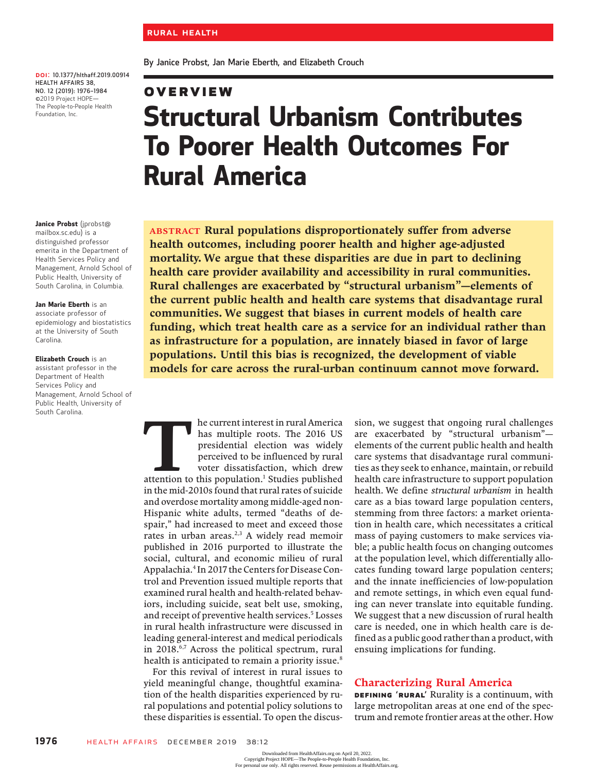By Janice Probst, Jan Marie Eberth, and Elizabeth Crouch

Rural America

DOI: 10.1377/hlthaff.2019.00914 HEALTH AFFAIRS 38, NO. 12 (2019): 1976–<sup>1984</sup> ©2019 Project HOPE— The People-to-People Health Foundation, Inc.

#### Janice Probst (jprobst@

mailbox.sc.edu) is a distinguished professor emerita in the Department of Health Services Policy and Management, Arnold School of Public Health, University of South Carolina, in Columbia.

#### Jan Marie Eberth is an associate professor of epidemiology and biostatistics at the University of South Carolina.

#### Elizabeth Crouch is an

assistant professor in the Department of Health Services Policy and Management, Arnold School of Public Health, University of South Carolina.

Overview Structural Urbanism Contributes To Poorer Health Outcomes For

ABSTRACT Rural populations disproportionately suffer from adverse health outcomes, including poorer health and higher age-adjusted mortality. We argue that these disparities are due in part to declining health care provider availability and accessibility in rural communities. Rural challenges are exacerbated by "structural urbanism"—elements of the current public health and health care systems that disadvantage rural communities. We suggest that biases in current models of health care funding, which treat health care as a service for an individual rather than as infrastructure for a population, are innately biased in favor of large populations. Until this bias is recognized, the development of viable models for care across the rural-urban continuum cannot move forward.

The current interest in rural America<br>
has multiple roots. The 2016 US<br>
presidential election was widely<br>
perceived to be influenced by rural<br>
voter dissatisfaction, which drew<br>
attention to this population.<sup>1</sup> Studies pub has multiple roots. The 2016 US presidential election was widely perceived to be influenced by rural voter dissatisfaction, which drew in the mid-2010s found that rural rates of suicide and overdose mortality among middle-aged non-Hispanic white adults, termed "deaths of despair," had increased to meet and exceed those rates in urban areas.<sup>2,3</sup> A widely read memoir published in 2016 purported to illustrate the social, cultural, and economic milieu of rural Appalachia.4 In 2017 the Centers for Disease Control and Prevention issued multiple reports that examined rural health and health-related behaviors, including suicide, seat belt use, smoking, and receipt of preventive health services.<sup>5</sup> Losses in rural health infrastructure were discussed in leading general-interest and medical periodicals in 2018.<sup>6,7</sup> Across the political spectrum, rural health is anticipated to remain a priority issue.<sup>8</sup>

For this revival of interest in rural issues to yield meaningful change, thoughtful examination of the health disparities experienced by rural populations and potential policy solutions to these disparities is essential. To open the discus-

sion, we suggest that ongoing rural challenges are exacerbated by "structural urbanism" elements of the current public health and health care systems that disadvantage rural communities as they seek to enhance, maintain, or rebuild health care infrastructure to support population health. We define structural urbanism in health care as a bias toward large population centers, stemming from three factors: a market orientation in health care, which necessitates a critical mass of paying customers to make services viable; a public health focus on changing outcomes at the population level, which differentially allocates funding toward large population centers; and the innate inefficiencies of low-population and remote settings, in which even equal funding can never translate into equitable funding. We suggest that a new discussion of rural health care is needed, one in which health care is defined as a public good rather than a product, with ensuing implications for funding.

## Characterizing Rural America

DEFINING 'RURAL' Rurality is a continuum, with large metropolitan areas at one end of the spectrum and remote frontier areas at the other. How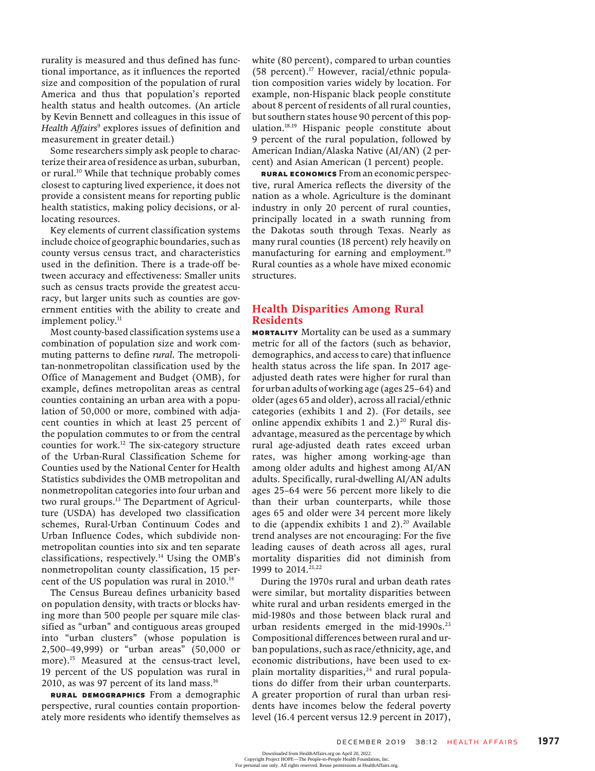rurality is measured and thus defined has functional importance, as it influences the reported size and composition of the population of rural America and thus that population's reported health status and health outcomes. (An article by Kevin Bennett and colleagues in this issue of Health Affairs<sup>9</sup> explores issues of definition and measurement in greater detail.)

Some researchers simply ask people to characterize their area of residence as urban, suburban, or rural.<sup>10</sup> While that technique probably comes closest to capturing lived experience, it does not provide a consistent means for reporting public health statistics, making policy decisions, or allocating resources.

Key elements of current classification systems include choice of geographic boundaries, such as county versus census tract, and characteristics used in the definition. There is a trade-off between accuracy and effectiveness: Smaller units such as census tracts provide the greatest accuracy, but larger units such as counties are government entities with the ability to create and implement policy.<sup>11</sup>

Most county-based classification systems use a combination of population size and work commuting patterns to define rural. The metropolitan-nonmetropolitan classification used by the Office of Management and Budget (OMB), for example, defines metropolitan areas as central counties containing an urban area with a population of 50,000 or more, combined with adjacent counties in which at least 25 percent of the population commutes to or from the central counties for work.<sup>12</sup> The six-category structure of the Urban-Rural Classification Scheme for Counties used by the National Center for Health Statistics subdivides the OMB metropolitan and nonmetropolitan categories into four urban and two rural groups.<sup>13</sup> The Department of Agriculture (USDA) has developed two classification schemes, Rural-Urban Continuum Codes and Urban Influence Codes, which subdivide nonmetropolitan counties into six and ten separate classifications, respectively.14 Using the OMB's nonmetropolitan county classification, 15 percent of the US population was rural in  $2010^{14}$ 

The Census Bureau defines urbanicity based on population density, with tracts or blocks having more than 500 people per square mile classified as "urban" and contiguous areas grouped into "urban clusters" (whose population is 2,500–49,999) or "urban areas" (50,000 or more).<sup>15</sup> Measured at the census-tract level, 19 percent of the US population was rural in 2010, as was 97 percent of its land mass.<sup>16</sup>

Rural Demographics From a demographic perspective, rural counties contain proportionately more residents who identify themselves as

white (80 percent), compared to urban counties (58 percent).<sup>17</sup> However, racial/ethnic population composition varies widely by location. For example, non-Hispanic black people constitute about 8 percent of residents of all rural counties, but southern states house 90 percent of this population.18.19 Hispanic people constitute about 9 percent of the rural population, followed by American Indian/Alaska Native (AI/AN) (2 percent) and Asian American (1 percent) people.

Rural Economics From an economic perspective, rural America reflects the diversity of the nation as a whole. Agriculture is the dominant industry in only 20 percent of rural counties, principally located in a swath running from the Dakotas south through Texas. Nearly as many rural counties (18 percent) rely heavily on manufacturing for earning and employment.<sup>19</sup> Rural counties as a whole have mixed economic structures.

## Health Disparities Among Rural Residents

**MORTALITY** Mortality can be used as a summary metric for all of the factors (such as behavior, demographics, and access to care) that influence health status across the life span. In 2017 ageadjusted death rates were higher for rural than for urban adults of working age (ages 25–64) and older (ages 65 and older), across all racial/ethnic categories (exhibits 1 and 2). (For details, see online appendix exhibits 1 and  $2.$ )<sup>20</sup> Rural disadvantage, measured as the percentage by which rural age-adjusted death rates exceed urban rates, was higher among working-age than among older adults and highest among AI/AN adults. Specifically, rural-dwelling AI/AN adults ages 25–64 were 56 percent more likely to die than their urban counterparts, while those ages 65 and older were 34 percent more likely to die (appendix exhibits 1 and 2). $20$  Available trend analyses are not encouraging: For the five leading causes of death across all ages, rural mortality disparities did not diminish from 1999 to 2014.<sup>21,22</sup>

During the 1970s rural and urban death rates were similar, but mortality disparities between white rural and urban residents emerged in the mid-1980s and those between black rural and urban residents emerged in the mid-1990s. $^{23}$ Compositional differences between rural and urban populations, such as race/ethnicity, age, and economic distributions, have been used to explain mortality disparities, $24$  and rural populations do differ from their urban counterparts. A greater proportion of rural than urban residents have incomes below the federal poverty level (16.4 percent versus 12.9 percent in 2017),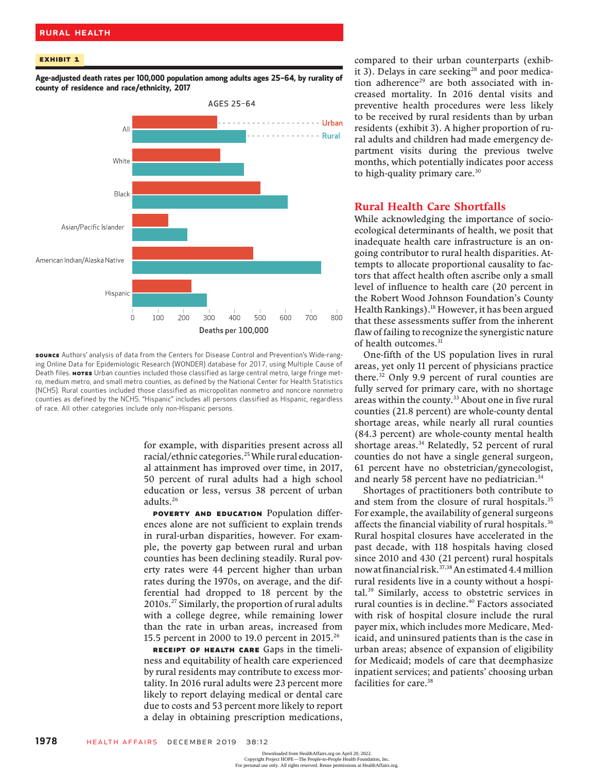### Rural Health

### Exhibit 1

Age-adjusted death rates per 100,000 population among adults ages 25–64, by rurality of county of residence and race/ethnicity, 2017



source Authors' analysis of data from the Centers for Disease Control and Prevention's Wide-ranging Online Data for Epidemiologic Research (WONDER) database for 2017, using Multiple Cause of Death files. NoTES Urban counties included those classified as large central metro, large fringe metro, medium metro, and small metro counties, as defined by the National Center for Health Statistics (NCHS). Rural counties included those classified as micropolitan nonmetro and noncore nonmetro counties as defined by the NCHS. "Hispanic" includes all persons classified as Hispanic, regardless of race. All other categories include only non-Hispanic persons.

for example, with disparities present across all racial/ethnic categories.<sup>25</sup> While rural educational attainment has improved over time, in 2017, 50 percent of rural adults had a high school education or less, versus 38 percent of urban adults.26

POVERTY AND EDUCATION Population differences alone are not sufficient to explain trends in rural-urban disparities, however. For example, the poverty gap between rural and urban counties has been declining steadily. Rural poverty rates were 44 percent higher than urban rates during the 1970s, on average, and the differential had dropped to 18 percent by the 2010s.27 Similarly, the proportion of rural adults with a college degree, while remaining lower than the rate in urban areas, increased from 15.5 percent in 2000 to 19.0 percent in 2015.26

RECEIPT OF HEALTH CARE Gaps in the timeliness and equitability of health care experienced by rural residents may contribute to excess mortality. In 2016 rural adults were 23 percent more likely to report delaying medical or dental care due to costs and 53 percent more likely to report a delay in obtaining prescription medications,

compared to their urban counterparts (exhibit 3). Delays in care seeking<sup>28</sup> and poor medication adherence<sup>29</sup> are both associated with increased mortality. In 2016 dental visits and preventive health procedures were less likely to be received by rural residents than by urban residents (exhibit 3). A higher proportion of rural adults and children had made emergency department visits during the previous twelve months, which potentially indicates poor access to high-quality primary care.<sup>30</sup>

## Rural Health Care Shortfalls

While acknowledging the importance of socioecological determinants of health, we posit that inadequate health care infrastructure is an ongoing contributor to rural health disparities. Attempts to allocate proportional causality to factors that affect health often ascribe only a small level of influence to health care (20 percent in the Robert Wood Johnson Foundation's County Health Rankings).<sup>18</sup> However, it has been argued that these assessments suffer from the inherent flaw of failing to recognize the synergistic nature of health outcomes.<sup>31</sup>

One-fifth of the US population lives in rural areas, yet only 11 percent of physicians practice there.<sup>32</sup> Only 9.9 percent of rural counties are fully served for primary care, with no shortage areas within the county.<sup>33</sup> About one in five rural counties (21.8 percent) are whole-county dental shortage areas, while nearly all rural counties (84.3 percent) are whole-county mental health shortage areas.<sup>34</sup> Relatedly, 52 percent of rural counties do not have a single general surgeon, 61 percent have no obstetrician/gynecologist, and nearly 58 percent have no pediatrician.<sup>34</sup>

Shortages of practitioners both contribute to and stem from the closure of rural hospitals.<sup>35</sup> For example, the availability of general surgeons affects the financial viability of rural hospitals.<sup>36</sup> Rural hospital closures have accelerated in the past decade, with 118 hospitals having closed since 2010 and 430 (21 percent) rural hospitals now at financial risk.<sup>37,38</sup> An estimated 4.4 million rural residents live in a county without a hospital.39 Similarly, access to obstetric services in rural counties is in decline.<sup>40</sup> Factors associated with risk of hospital closure include the rural payer mix, which includes more Medicare, Medicaid, and uninsured patients than is the case in urban areas; absence of expansion of eligibility for Medicaid; models of care that deemphasize inpatient services; and patients' choosing urban facilities for care.<sup>38</sup>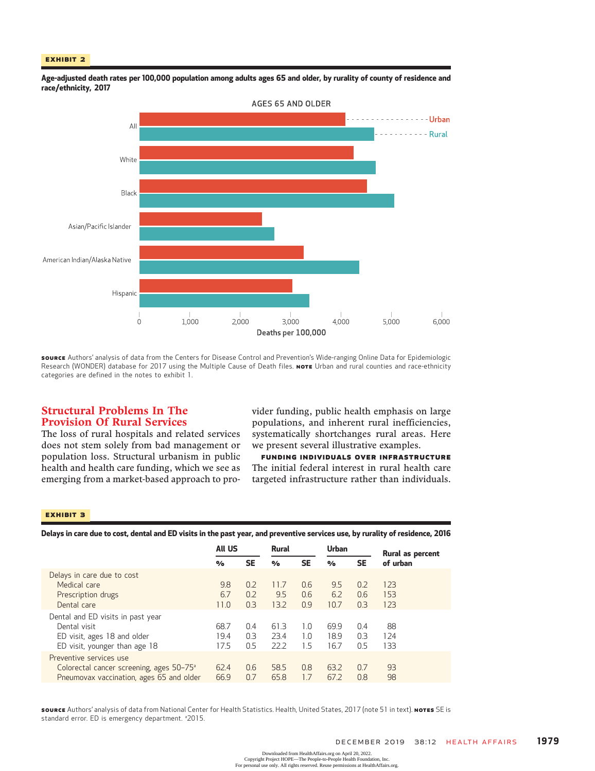### Exhibit 2



Age-adjusted death rates per 100,000 population among adults ages 65 and older, by rurality of county of residence and race/ethnicity, 2017

SOURCE Authors' analysis of data from the Centers for Disease Control and Prevention's Wide-ranging Online Data for Epidemiologic Research (WONDER) database for 2017 using the Multiple Cause of Death files. Nore Urban and rural counties and race-ethnicity categories are defined in the notes to exhibit 1.

# Structural Problems In The Provision Of Rural Services

The loss of rural hospitals and related services does not stem solely from bad management or population loss. Structural urbanism in public health and health care funding, which we see as emerging from a market-based approach to provider funding, public health emphasis on large populations, and inherent rural inefficiencies, systematically shortchanges rural areas. Here we present several illustrative examples.

Funding Individuals Over Infrastructure The initial federal interest in rural health care targeted infrastructure rather than individuals.

#### Exhibit 3

Delays in care due to cost, dental and ED visits in the past year, and preventive services use, by rurality of residence, 2016

|                                                                                                                             | <b>All US</b>        |                   | <b>Rural</b>         |                   | Urban                |                   | Rural as percent  |
|-----------------------------------------------------------------------------------------------------------------------------|----------------------|-------------------|----------------------|-------------------|----------------------|-------------------|-------------------|
|                                                                                                                             | $\frac{9}{6}$        | <b>SE</b>         | $\frac{9}{6}$        | <b>SE</b>         | $\frac{0}{\alpha}$   | SE                | of urban          |
| Delays in care due to cost<br>Medical care<br>Prescription drugs<br>Dental care                                             | 9.8<br>6.7<br>11.0   | 0.2<br>0.2<br>0.3 | 11.7<br>9.5<br>13.2  | 0.6<br>0.6<br>0.9 | 9.5<br>6.2<br>10.7   | 0.2<br>0.6<br>0.3 | 123<br>153<br>123 |
| Dental and ED visits in past year<br>Dental visit<br>ED visit, ages 18 and older<br>ED visit, younger than age 18           | 68.7<br>19.4<br>17.5 | 0.4<br>0.3<br>0.5 | 61.3<br>23.4<br>22.2 | 1.0<br>1.0<br>1.5 | 69.9<br>18.9<br>16.7 | 0.4<br>0.3<br>0.5 | 88<br>124<br>133  |
| Preventive services use<br>Colorectal cancer screening, ages 50-75 <sup>a</sup><br>Pneumovax vaccination, ages 65 and older | 62.4<br>66.9         | 0.6<br>0.7        | 58.5<br>65.8         | 0.8<br>1.7        | 63.2<br>67.2         | 0.7<br>0.8        | 93<br>98          |

source Authors' analysis of data from National Center for Health Statistics. Health, United States, 2017 (note 51 in text). NOTES SE is standard error. ED is emergency department. <sup>a</sup>2015.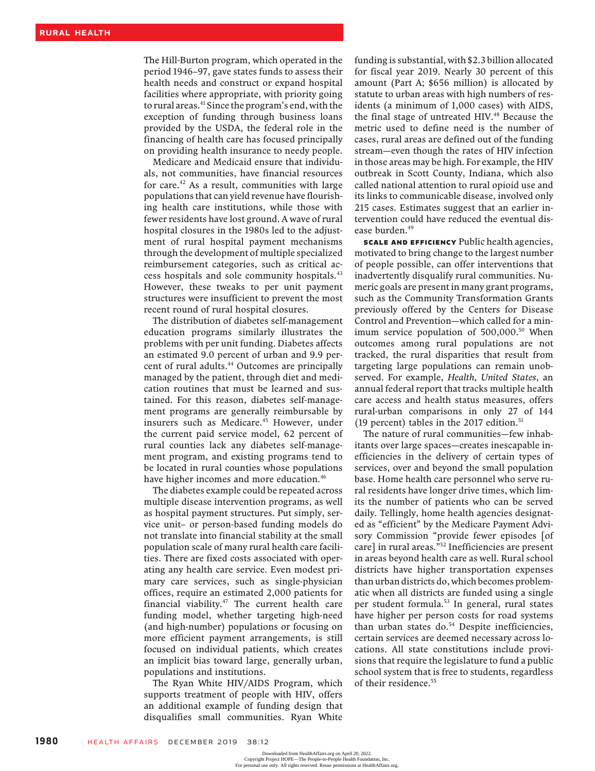The Hill-Burton program, which operated in the period 1946–97, gave states funds to assess their health needs and construct or expand hospital facilities where appropriate, with priority going to rural areas.<sup>41</sup> Since the program's end, with the exception of funding through business loans provided by the USDA, the federal role in the financing of health care has focused principally on providing health insurance to needy people.

Medicare and Medicaid ensure that individuals, not communities, have financial resources for care.42 As a result, communities with large populations that can yield revenue have flourishing health care institutions, while those with fewer residents have lost ground. A wave of rural hospital closures in the 1980s led to the adjustment of rural hospital payment mechanisms through the development of multiple specialized reimbursement categories, such as critical access hospitals and sole community hospitals.43 However, these tweaks to per unit payment structures were insufficient to prevent the most recent round of rural hospital closures.

The distribution of diabetes self-management education programs similarly illustrates the problems with per unit funding. Diabetes affects an estimated 9.0 percent of urban and 9.9 percent of rural adults.<sup>44</sup> Outcomes are principally managed by the patient, through diet and medication routines that must be learned and sustained. For this reason, diabetes self-management programs are generally reimbursable by insurers such as Medicare.<sup>45</sup> However, under the current paid service model, 62 percent of rural counties lack any diabetes self-management program, and existing programs tend to be located in rural counties whose populations have higher incomes and more education.<sup>46</sup>

The diabetes example could be repeated across multiple disease intervention programs, as well as hospital payment structures. Put simply, service unit– or person-based funding models do not translate into financial stability at the small population scale of many rural health care facilities. There are fixed costs associated with operating any health care service. Even modest primary care services, such as single-physician offices, require an estimated 2,000 patients for financial viability. $47$  The current health care funding model, whether targeting high-need (and high-number) populations or focusing on more efficient payment arrangements, is still focused on individual patients, which creates an implicit bias toward large, generally urban, populations and institutions.

The Ryan White HIV/AIDS Program, which supports treatment of people with HIV, offers an additional example of funding design that disqualifies small communities. Ryan White

funding is substantial, with \$2.3 billion allocated for fiscal year 2019. Nearly 30 percent of this amount (Part A; \$656 million) is allocated by statute to urban areas with high numbers of residents (a minimum of 1,000 cases) with AIDS, the final stage of untreated HIV.<sup>48</sup> Because the metric used to define need is the number of cases, rural areas are defined out of the funding stream—even though the rates of HIV infection in those areas may be high. For example, the HIV outbreak in Scott County, Indiana, which also called national attention to rural opioid use and its links to communicable disease, involved only 215 cases. Estimates suggest that an earlier intervention could have reduced the eventual disease burden.<sup>49</sup>

Scale And Efficiency Public health agencies, motivated to bring change to the largest number of people possible, can offer interventions that inadvertently disqualify rural communities. Numeric goals are present in many grant programs, such as the Community Transformation Grants previously offered by the Centers for Disease Control and Prevention—which called for a minimum service population of 500,000.<sup>50</sup> When outcomes among rural populations are not tracked, the rural disparities that result from targeting large populations can remain unobserved. For example, Health, United States, an annual federal report that tracks multiple health care access and health status measures, offers rural-urban comparisons in only 27 of 144 (19 percent) tables in the 2017 edition.<sup>51</sup>

The nature of rural communities—few inhabitants over large spaces—creates inescapable inefficiencies in the delivery of certain types of services, over and beyond the small population base. Home health care personnel who serve rural residents have longer drive times, which limits the number of patients who can be served daily. Tellingly, home health agencies designated as "efficient" by the Medicare Payment Advisory Commission "provide fewer episodes [of care] in rural areas."<sup>52</sup> Inefficiencies are present in areas beyond health care as well. Rural school districts have higher transportation expenses than urban districts do, which becomes problematic when all districts are funded using a single per student formula.53 In general, rural states have higher per person costs for road systems than urban states do.<sup>54</sup> Despite inefficiencies, certain services are deemed necessary across locations. All state constitutions include provisions that require the legislature to fund a public school system that is free to students, regardless of their residence.<sup>55</sup>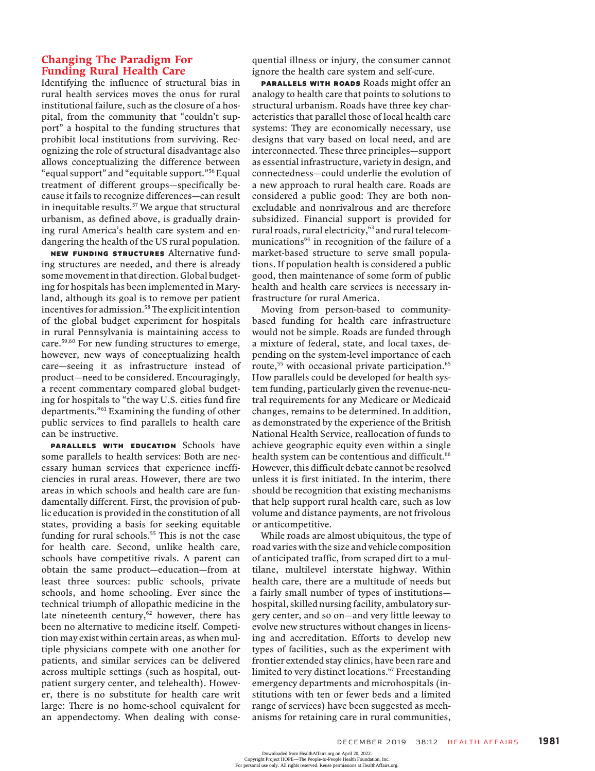## Changing The Paradigm For Funding Rural Health Care

Identifying the influence of structural bias in rural health services moves the onus for rural institutional failure, such as the closure of a hospital, from the community that "couldn't support" a hospital to the funding structures that prohibit local institutions from surviving. Recognizing the role of structural disadvantage also allows conceptualizing the difference between "equal support" and "equitable support."<sup>56</sup> Equal treatment of different groups—specifically because it fails to recognize differences—can result in inequitable results. $57$  We argue that structural urbanism, as defined above, is gradually draining rural America's health care system and endangering the health of the US rural population.

New Funding Structures Alternative funding structures are needed, and there is already some movement in that direction. Global budgeting for hospitals has been implemented in Maryland, although its goal is to remove per patient incentives for admission.<sup>58</sup> The explicit intention of the global budget experiment for hospitals in rural Pennsylvania is maintaining access to care.<sup>59,60</sup> For new funding structures to emerge, however, new ways of conceptualizing health care—seeing it as infrastructure instead of product—need to be considered. Encouragingly, a recent commentary compared global budgeting for hospitals to "the way U.S. cities fund fire departments."<sup>61</sup> Examining the funding of other public services to find parallels to health care can be instructive.

PARALLELS WITH EDUCATION Schools have some parallels to health services: Both are necessary human services that experience inefficiencies in rural areas. However, there are two areas in which schools and health care are fundamentally different. First, the provision of public education is provided in the constitution of all states, providing a basis for seeking equitable funding for rural schools.<sup>55</sup> This is not the case for health care. Second, unlike health care, schools have competitive rivals. A parent can obtain the same product—education—from at least three sources: public schools, private schools, and home schooling. Ever since the technical triumph of allopathic medicine in the late nineteenth century, $62$  however, there has been no alternative to medicine itself. Competition may exist within certain areas, as when multiple physicians compete with one another for patients, and similar services can be delivered across multiple settings (such as hospital, outpatient surgery center, and telehealth). However, there is no substitute for health care writ large: There is no home-school equivalent for an appendectomy. When dealing with consequential illness or injury, the consumer cannot ignore the health care system and self-cure.

PARALLELS WITH ROADS Roads might offer an analogy to health care that points to solutions to structural urbanism. Roads have three key characteristics that parallel those of local health care systems: They are economically necessary, use designs that vary based on local need, and are interconnected. These three principles—support as essential infrastructure, variety in design, and connectedness—could underlie the evolution of a new approach to rural health care. Roads are considered a public good: They are both nonexcludable and nonrivalrous and are therefore subsidized. Financial support is provided for rural roads, rural electricity,<sup>63</sup> and rural telecommunications $64$  in recognition of the failure of a market-based structure to serve small populations. If population health is considered a public good, then maintenance of some form of public health and health care services is necessary infrastructure for rural America.

Moving from person-based to communitybased funding for health care infrastructure would not be simple. Roads are funded through a mixture of federal, state, and local taxes, depending on the system-level importance of each route,<sup>55</sup> with occasional private participation.<sup>65</sup> How parallels could be developed for health system funding, particularly given the revenue-neutral requirements for any Medicare or Medicaid changes, remains to be determined. In addition, as demonstrated by the experience of the British National Health Service, reallocation of funds to achieve geographic equity even within a single health system can be contentious and difficult.<sup>66</sup> However, this difficult debate cannot be resolved unless it is first initiated. In the interim, there should be recognition that existing mechanisms that help support rural health care, such as low volume and distance payments, are not frivolous or anticompetitive.

While roads are almost ubiquitous, the type of road varies with the size and vehicle composition of anticipated traffic, from scraped dirt to a multilane, multilevel interstate highway. Within health care, there are a multitude of needs but a fairly small number of types of institutions hospital, skilled nursing facility, ambulatory surgery center, and so on—and very little leeway to evolve new structures without changes in licensing and accreditation. Efforts to develop new types of facilities, such as the experiment with frontier extended stay clinics, have been rare and limited to very distinct locations.<sup>67</sup> Freestanding emergency departments and microhospitals (institutions with ten or fewer beds and a limited range of services) have been suggested as mechanisms for retaining care in rural communities,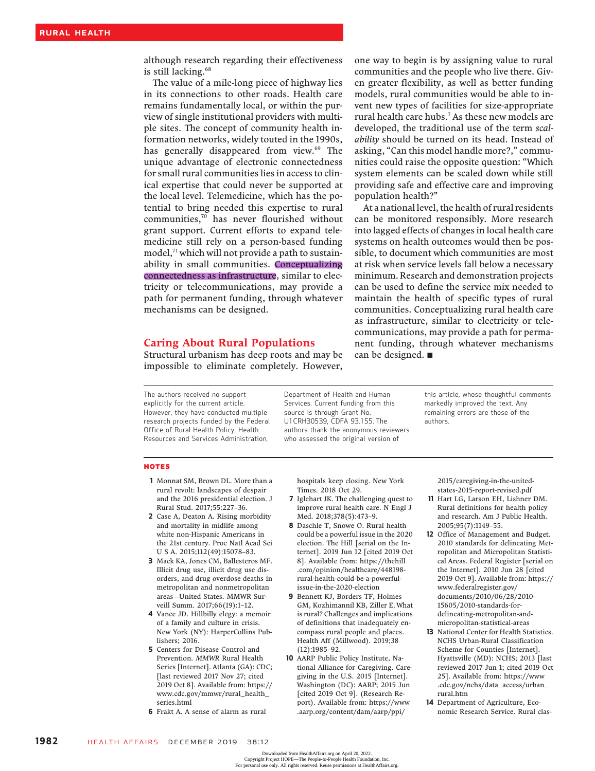although research regarding their effectiveness is still lacking.<sup>68</sup>

The value of a mile-long piece of highway lies in its connections to other roads. Health care remains fundamentally local, or within the purview of single institutional providers with multiple sites. The concept of community health information networks, widely touted in the 1990s, has generally disappeared from view.<sup>69</sup> The unique advantage of electronic connectedness for small rural communities lies in access to clinical expertise that could never be supported at the local level. Telemedicine, which has the potential to bring needed this expertise to rural communities,70 has never flourished without grant support. Current efforts to expand telemedicine still rely on a person-based funding model,<sup>71</sup> which will not provide a path to sustainability in small communities. Conceptualizing connectedness as infrastructure, similar to electricity or telecommunications, may provide a path for permanent funding, through whatever mechanisms can be designed.

### Caring About Rural Populations

Structural urbanism has deep roots and may be impossible to eliminate completely. However,

one way to begin is by assigning value to rural communities and the people who live there. Given greater flexibility, as well as better funding models, rural communities would be able to invent new types of facilities for size-appropriate rural health care hubs.7 As these new models are developed, the traditional use of the term scalability should be turned on its head. Instead of asking, "Can this model handle more?," communities could raise the opposite question: "Which system elements can be scaled down while still providing safe and effective care and improving population health?"

At a national level, the health of rural residents can be monitored responsibly. More research into lagged effects of changes in local health care systems on health outcomes would then be possible, to document which communities are most at risk when service levels fall below a necessary minimum. Research and demonstration projects can be used to define the service mix needed to maintain the health of specific types of rural communities. Conceptualizing rural health care as infrastructure, similar to electricity or telecommunications, may provide a path for permanent funding, through whatever mechanisms can be designed.  $\blacksquare$ 

The authors received no support explicitly for the current article. However, they have conducted multiple research projects funded by the Federal Office of Rural Health Policy, Health Resources and Services Administration,

Department of Health and Human Services. Current funding from this source is through Grant No. U1CRH30539, CDFA 93.155. The authors thank the anonymous reviewers who assessed the original version of

this article, whose thoughtful comments markedly improved the text. Any remaining errors are those of the authors.

#### NOTES

- 1 Monnat SM, Brown DL. More than a rural revolt: landscapes of despair and the 2016 presidential election. J Rural Stud. 2017;55:227–36.
- 2 Case A, Deaton A. Rising morbidity and mortality in midlife among white non-Hispanic Americans in the 21st century. Proc Natl Acad Sci U S A. 2015;112(49):15078–83.
- 3 Mack KA, Jones CM, Ballesteros MF. Illicit drug use, illicit drug use disorders, and drug overdose deaths in metropolitan and nonmetropolitan areas—United States. MMWR Surveill Summ. 2017;66(19):1–12.
- 4 Vance JD. Hillbilly elegy: a memoir of a family and culture in crisis. New York (NY): HarperCollins Publishers; 2016.
- 5 Centers for Disease Control and Prevention. MMWR Rural Health Series [Internet]. Atlanta (GA): CDC; [last reviewed 2017 Nov 27; cited 2019 Oct 8]. Available from: https:// www.cdc.gov/mmwr/rural\_health\_ series.html
- 6 Frakt A. A sense of alarm as rural

hospitals keep closing. New York Times. 2018 Oct 29.

- 7 Iglehart JK. The challenging quest to improve rural health care. N Engl J Med. 2018;378(5):473–9.
- 8 Daschle T, Snowe O. Rural health could be a powerful issue in the 2020 election. The Hill [serial on the Internet]. 2019 Jun 12 [cited 2019 Oct 8]. Available from: https://thehill .com/opinion/healthcare/448198 rural-health-could-be-a-powerfulissue-in-the-2020-election
- 9 Bennett KJ, Borders TF, Holmes GM, Kozhimannil KB, Ziller E. What is rural? Challenges and implications of definitions that inadequately encompass rural people and places. Health Aff (Millwood). 2019;38 (12):1985–92.
- 10 AARP Public Policy Institute, National Alliance for Caregiving. Caregiving in the U.S. 2015 [Internet]. Washington (DC): AARP; 2015 Jun [cited 2019 Oct 9]. (Research Report). Available from: https://www .aarp.org/content/dam/aarp/ppi/

2015/caregiving-in-the-unitedstates-2015-report-revised.pdf

- 11 Hart LG, Larson EH, Lishner DM. Rural definitions for health policy and research. Am J Public Health. 2005;95(7):1149–55.
- 12 Office of Management and Budget. 2010 standards for delineating Metropolitan and Micropolitan Statistical Areas. Federal Register [serial on the Internet]. 2010 Jun 28 [cited 2019 Oct 9]. Available from: https:// www.federalregister.gov/ documents/2010/06/28/2010- 15605/2010-standards-fordelineating-metropolitan-andmicropolitan-statistical-areas
- 13 National Center for Health Statistics. NCHS Urban-Rural Classification Scheme for Counties [Internet]. Hyattsville (MD): NCHS; 2013 [last reviewed 2017 Jun 1; cited 2019 Oct 25]. Available from: https://www .cdc.gov/nchs/data\_access/urban\_ rural.htm
- 14 Department of Agriculture, Economic Research Service. Rural clas-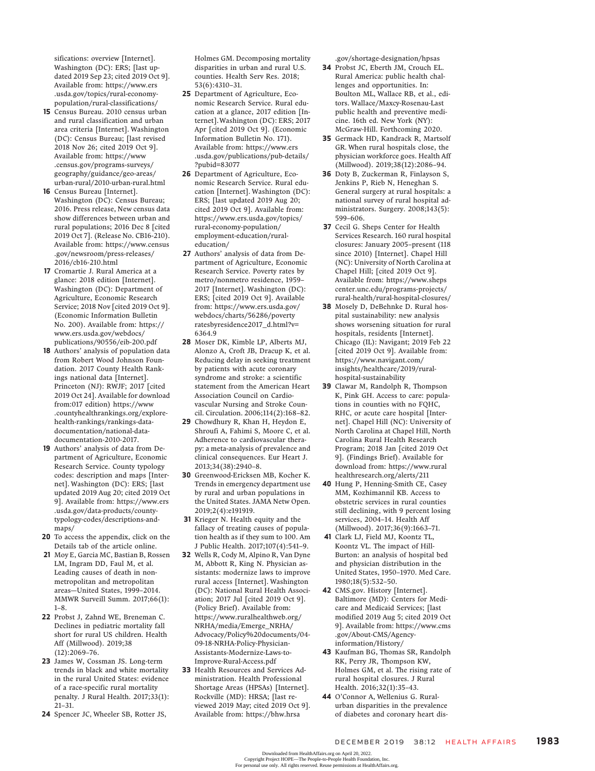sifications: overview [Internet]. Washington (DC): ERS; [last updated 2019 Sep 23; cited 2019 Oct 9]. Available from: https://www.ers .usda.gov/topics/rural-economypopulation/rural-classifications/

- 15 Census Bureau. 2010 census urban and rural classification and urban area criteria [Internet]. Washington (DC): Census Bureau; [last revised 2018 Nov 26; cited 2019 Oct 9]. Available from: https://www .census.gov/programs-surveys/ geography/guidance/geo-areas/ urban-rural/2010-urban-rural.html
- 16 Census Bureau [Internet]. Washington (DC): Census Bureau; 2016. Press release, New census data show differences between urban and rural populations; 2016 Dec 8 [cited 2019 Oct 7]. (Release No. CB16-210). Available from: https://www.census .gov/newsroom/press-releases/ 2016/cb16-210.html
- 17 Cromartie J. Rural America at a glance: 2018 edition [Internet]. Washington (DC): Department of Agriculture, Economic Research Service; 2018 Nov [cited 2019 Oct 9]. (Economic Information Bulletin No. 200). Available from: https:// www.ers.usda.gov/webdocs/ publications/90556/eib-200.pdf
- 18 Authors' analysis of population data from Robert Wood Johnson Foundation. 2017 County Health Rankings national data [Internet]. Princeton (NJ): RWJF; 2017 [cited 2019 Oct 24]. Available for download from:017 edition) https://www .countyhealthrankings.org/explorehealth-rankings/rankings-datadocumentation/national-datadocumentation-2010-2017.
- 19 Authors' analysis of data from Department of Agriculture, Economic Research Service. County typology codes: description and maps [Internet]. Washington (DC): ERS; [last updated 2019 Aug 20; cited 2019 Oct 9]. Available from: https://www.ers .usda.gov/data-products/countytypology-codes/descriptions-andmaps/
- 20 To access the appendix, click on the Details tab of the article online.
- 21 Moy E, Garcia MC, Bastian B, Rossen LM, Ingram DD, Faul M, et al. Leading causes of death in nonmetropolitan and metropolitan areas—United States, 1999–2014. MMWR Surveill Summ. 2017;66(1): 1–8.
- 22 Probst J, Zahnd WE, Breneman C. Declines in pediatric mortality fall short for rural US children. Health Aff (Millwood). 2019;38 (12):2069–76.
- 23 James W, Cossman JS. Long-term trends in black and white mortality in the rural United States: evidence of a race-specific rural mortality penalty. J Rural Health. 2017;33(1): 21–31.
- 24 Spencer JC, Wheeler SB, Rotter JS,

Holmes GM. Decomposing mortality disparities in urban and rural U.S. counties. Health Serv Res. 2018; 53(6):4310–31.

- 25 Department of Agriculture, Economic Research Service. Rural education at a glance, 2017 edition [Internet].Washington (DC): ERS; 2017 Apr [cited 2019 Oct 9]. (Economic Information Bulletin No. 171). Available from: https://www.ers .usda.gov/publications/pub-details/ ?pubid=83077
- 26 Department of Agriculture, Economic Research Service. Rural education [Internet]. Washington (DC): ERS; [last updated 2019 Aug 20; cited 2019 Oct 9]. Available from: https://www.ers.usda.gov/topics/ rural-economy-population/ employment-education/ruraleducation/
- 27 Authors' analysis of data from Department of Agriculture, Economic Research Service. Poverty rates by metro/nonmetro residence, 1959– 2017 [Internet]. Washington (DC): ERS; [cited 2019 Oct 9]. Available from: https://www.ers.usda.gov/ webdocs/charts/56286/poverty ratesbyresidence2017\_d.html?v= 6364.9
- 28 Moser DK, Kimble LP, Alberts MJ, Alonzo A, Croft JB, Dracup K, et al. Reducing delay in seeking treatment by patients with acute coronary syndrome and stroke: a scientific statement from the American Heart Association Council on Cardiovascular Nursing and Stroke Council. Circulation. 2006;114(2):168–82.
- 29 Chowdhury R, Khan H, Heydon E, Shroufi A, Fahimi S, Moore C, et al. Adherence to cardiovascular therapy: a meta-analysis of prevalence and clinical consequences. Eur Heart J. 2013;34(38):2940–8.
- 30 Greenwood-Ericksen MB, Kocher K. Trends in emergency department use by rural and urban populations in the United States. JAMA Netw Open. 2019;2(4):e191919.
- 31 Krieger N. Health equity and the fallacy of treating causes of population health as if they sum to 100. Am J Public Health. 2017;107(4):541–9.
- 32 Wells R, Cody M, Alpino R, Van Dyne M, Abbott R, King N. Physician assistants: modernize laws to improve rural access [Internet]. Washington (DC): National Rural Health Association; 2017 Jul [cited 2019 Oct 9]. (Policy Brief). Available from: https://www.ruralhealthweb.org/ NRHA/media/Emerge\_NRHA/ Advocacy/Policy%20documents/04- 09-18-NRHA-Policy-Physician-Assistants-Modernize-Laws-to-Improve-Rural-Access.pdf
- 33 Health Resources and Services Administration. Health Professional Shortage Areas (HPSAs) [Internet]. Rockville (MD): HRSA; [last reviewed 2019 May; cited 2019 Oct 9]. Available from: https://bhw.hrsa

.gov/shortage-designation/hpsas

- 34 Probst JC, Eberth JM, Crouch EL. Rural America: public health challenges and opportunities. In: Boulton ML, Wallace RB, et al., editors. Wallace/Maxcy-Rosenau-Last public health and preventive medicine. 16th ed. New York (NY): McGraw-Hill. Forthcoming 2020.
- 35 Germack HD, Kandrack R, Martsolf GR. When rural hospitals close, the physician workforce goes. Health Aff (Millwood). 2019;38(12):2086–94.
- 36 Doty B, Zuckerman R, Finlayson S, Jenkins P, Rieb N, Heneghan S. General surgery at rural hospitals: a national survey of rural hospital administrators. Surgery. 2008;143(5): 599–606.
- 37 Cecil G. Sheps Center for Health Services Research. 160 rural hospital closures: January 2005–present (118 since 2010) [Internet]. Chapel Hill (NC): University of North Carolina at Chapel Hill; [cited 2019 Oct 9]. Available from: https://www.sheps center.unc.edu/programs-projects/ rural-health/rural-hospital-closures/
- 38 Mosely D, DeBehnke D. Rural hospital sustainability: new analysis shows worsening situation for rural hospitals, residents [Internet]. Chicago (IL): Navigant; 2019 Feb 22 [cited 2019 Oct 9]. Available from: https://www.navigant.com/ insights/healthcare/2019/ruralhospital-sustainability
- 39 Clawar M, Randolph R, Thompson K, Pink GH. Access to care: populations in counties with no FQHC, RHC, or acute care hospital [Internet]. Chapel Hill (NC): University of North Carolina at Chapel Hill, North Carolina Rural Health Research Program; 2018 Jan [cited 2019 Oct 9]. (Findings Brief). Available for download from: https://www.rural healthresearch.org/alerts/211
- 40 Hung P, Henning-Smith CE, Casey MM, Kozhimannil KB. Access to obstetric services in rural counties still declining, with 9 percent losing services, 2004–14. Health Aff (Millwood). 2017;36(9):1663–71.
- 41 Clark LJ, Field MJ, Koontz TL, Koontz VL. The impact of Hill-Burton: an analysis of hospital bed and physician distribution in the United States, 1950–1970. Med Care. 1980;18(5):532–50.
- 42 CMS.gov. History [Internet]. Baltimore (MD): Centers for Medicare and Medicaid Services; [last modified 2019 Aug 5; cited 2019 Oct 9]. Available from: https://www.cms .gov/About-CMS/Agencyinformation/History/
- 43 Kaufman BG, Thomas SR, Randolph RK, Perry JR, Thompson KW, Holmes GM, et al. The rising rate of rural hospital closures. J Rural Health. 2016;32(1):35–43.
- 44 O'Connor A, Wellenius G. Ruralurban disparities in the prevalence of diabetes and coronary heart dis-